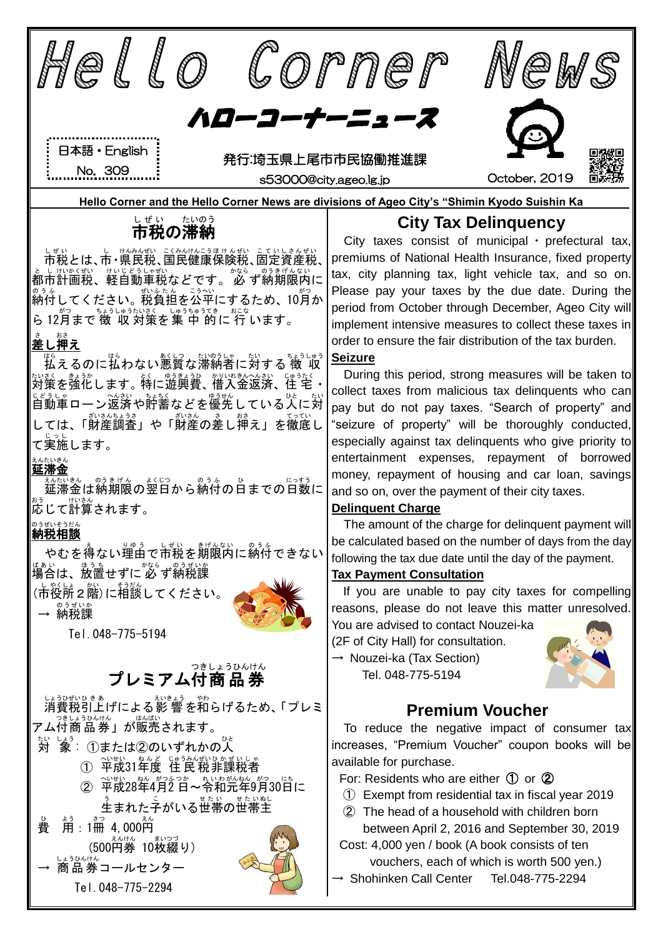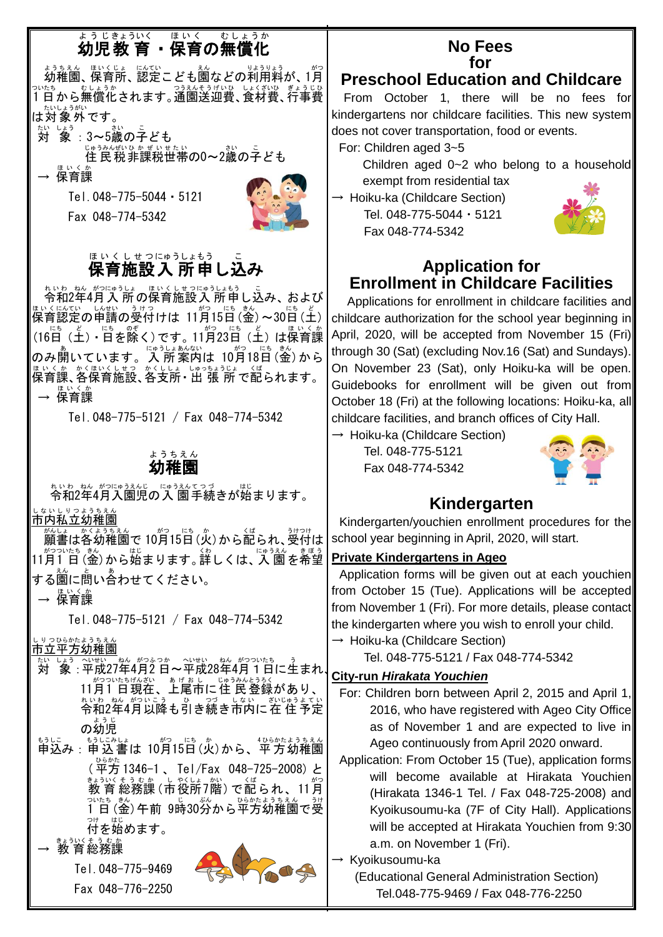# ょぅじきょういく はいく むしょうか<br>**幼児 教 育 ・保育の無償化**

ょうちえん。<sub>ほいくじょ(</sub>以び)<br>幼稚園、保育所、認定こども園などの利用料が、1月 っぴたち。 むしょうか<br>1日から無償化されます。通園送迎費、食材費、行事費 ・\*いしょうがい<br>は対象外です。

対 たい しょう<br>- 象 : 3~5歳の子ども

じゅうかばいる。<br>住 民 税 非課税世帯の0〜2歳の子ども

保育課 エッシュ

Tel.048-775-5044・5121

Fax 048-774-5342



#### ほぃくしせっにゅうしょもう こ<br>**保育施設入 所申し込み** ほ い く し せ つにゅうしょもう

ねいわ 2年4月入 所の保育施設入 所申し込み、および <sup>関≦は</sup>認定の単譜の受付けは 11月15日(釜)~30日(土)│ (16日 (土) • 日を除く)です。11月23日 (土) は保育課 のみ開いています。「ペラレォ ホムキュト<br>のみ開いています。人所案内は 10月18日(金)から <sub>ほいく楽、</sub>☆ぼいくはつ。☆くしょ。ぼうなぇぅじょ。くば<br>保育課、各保育施設、各支所・出 張 所 で配られます。 → 保育課 ほいくか

Tel.048-775-5121 / Fax 048-774-5342

#### 幼稚園 ようちえん

\* いゎ‐ぉん がっにゅうぇんこうづ。。……。<br>令和2年4月入園児の入 園手続きが始まります。<br>……………… しないしりっょうちぇん<br>**市内私立幼稚園** 

願書 がんしょ は各幼稚園 かくようちえん で 10月 がつ 15日 にち (火 か )から配 くば られ、受付 うけつけ は 11月 がつ 1 日 ついたち (金 きん )から始 はじ まります。詳 くわ しくは、入 園 にゅうえん を希望 きぼう する園に問い合わせてください。

→ 保育課 ほいくか

Tel.048-775-5121 / Fax 048-774-5342

しりっぴ。\*\*よぅぅぇん

- <u>おいほう、</u>、<br>対 象 : 平成27年4月2日~平成28年4月1日に生まれし。 11月1 日現在、上尾市に住 民 登録があり、 令和 れいわ 2年 ねん 4月 がつ 以降 いこう も引 ひ き続 つづ き市内 しない に在 住 ざいじゅう 予定 よてい の幼児 ようじ
- もうに。<br>申込み : 申込書は 10月15日(火)から、平方幼稚園 ( 平方 ひらかた 1346-1 、 Tel/Fax 048-725-2008) と まゔ\´ ゑ゙ゑ҈寒(市役所フ階) で配られ、11月 1 日 ついたち (金 きん )午前 9時 じ 30分 ぷん から平方 ひらかた 幼稚園 ようちえん で受 うけ 。。<br>付を始めます。

→ 教育総務課





#### **No Fees for**

# **Preschool Education and Childcare**

From October 1, there will be no fees for kindergartens nor childcare facilities. This new system does not cover transportation, food or events.

For: Children aged 3~5

Children aged 0~2 who belong to a household exempt from residential tax

 $\rightarrow$  Hoiku-ka (Childcare Section) Tel. 048-775-5044・5121 Fax 048-774-5342



### **Application for Enrollment in Childcare Facilities**

Applications for enrollment in childcare facilities and childcare authorization for the school year beginning in April, 2020, will be accepted from November 15 (Fri) through 30 (Sat) (excluding Nov.16 (Sat) and Sundays). On November 23 (Sat), only Hoiku-ka will be open. Guidebooks for enrollment will be given out from October 18 (Fri) at the following locations: Hoiku-ka, all childcare facilities, and branch offices of City Hall.

 $\rightarrow$  Hoiku-ka (Childcare Section) Tel. 048-775-5121 Fax 048-774-5342



# **Kindergarten**

Kindergarten/youchien enrollment procedures for the school year beginning in April, 2020, will start.

#### **Private Kindergartens in Ageo**

Application forms will be given out at each youchien from October 15 (Tue). Applications will be accepted from November 1 (Fri). For more details, please contact the kindergarten where you wish to enroll your child.  $\rightarrow$  Hoiku-ka (Childcare Section)

Tel. 048-775-5121 / Fax 048-774-5342

#### **City-run** *Hirakata Youchien*

- For: Children born between April 2, 2015 and April 1, 2016, who have registered with Ageo City Office as of November 1 and are expected to live in Ageo continuously from April 2020 onward.
- Application: From October 15 (Tue), application forms will become available at Hirakata Youchien (Hirakata 1346-1 Tel. / Fax 048-725-2008) and Kyoikusoumu-ka (7F of City Hall). Applications will be accepted at Hirakata Youchien from 9:30 a.m. on November 1 (Fri).

→ Kyoikusoumu-ka

(Educational General Administration Section) Tel.048-775-9469 / Fax 048-776-2250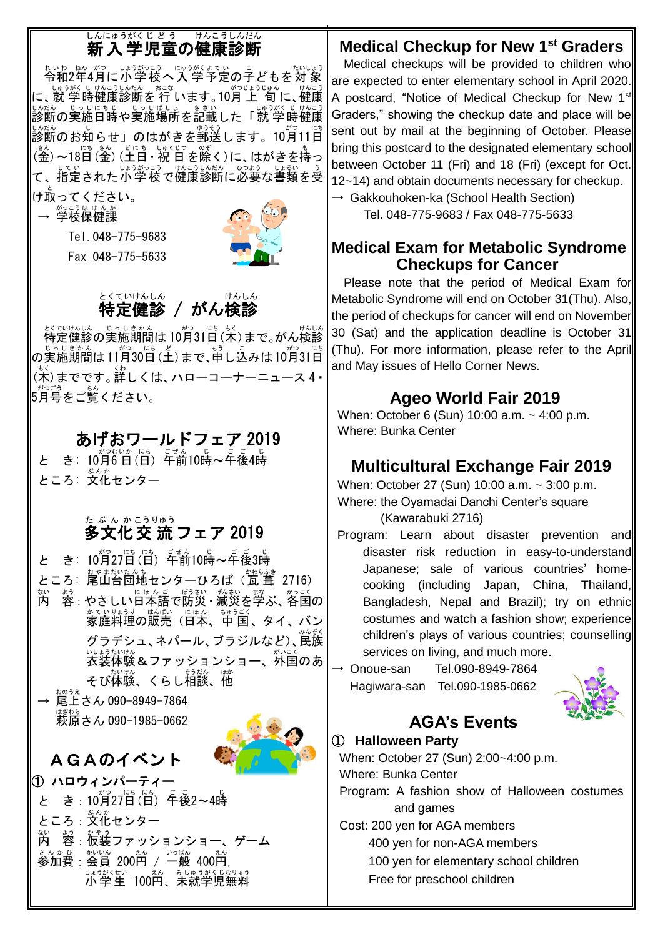# しんにゅうがくじどう けんこうしんだん<br>**新入学児童の健康診断**

\*いゎ ォ¼ がっこう 「ニゅラホ´ィ ム ひょう」 たいしょう<br>令和2年4月に小学校へ入 学予定の子どもを対 象 に、就 学 しゅうがく 時 じ 健康 けんこう 診断 しんだん を 行 おこな います。10月 がつ 上 旬 じょうじゅん に、健康 けんこう しんだん じっしょうしょしょうまままいしゃ。しゅうがくじ けんこう<br>診断の実施日時や実施場所を記載した「就 学 時健康 しんだん<br>診断のお知らせ」のはがきを郵送します。10月11日 (釜) 〜18日 (釜) (土日 • 祝 日 を除く)に、 はがきを持っ て、指定された小学校で健康診断に必要な書類を受 け取ってください。

→ 学校保健課 Tel.048-775-9683

Fax 048-775-5633



#### とくていけんしん<br>**特定健診 / がん検診** とくていけんしん e<br>S

<sub>とくでけんし</sub>。<br>特定健診の実施期間は 10月31日 (木) まで。がん検診 の実施期間は11月30日(土)まで、甲し込みは10月31日 (木 もく )までです。詳 くわ しくは、ハローコーナーニュース 4・ 5月号 がつごう をご覧 らん ください。

# あげおワールドフェア 2019

と き: 10月6日(日) 午前10時~午後4時 ところ: 文化 ぶんか センター

# たぶんかこうりゅう<br>**多文化交 流 フェア 2019**

と き: 10月27日(日) 年前10時~午後3時 ところ: 尾山台団地センターひろば (瓦葺 2716) <sub>ない。お</sub>。<br>内 容 : やさしい日本語で防災 · 減災を学ぶ、各国の ゕていりょうり はばい にほん、ちゅうごく<br>家庭料理の販売(日本、中 国 、タイ 、バン <br>グラデシュ、ネパール、ブラジルなど)、民族 いようたいけん<br>衣装体験&ファッションショー、外国のあ そび体験、くらし相談、他

→ 尾上さん 090-8949-7864 おのうえ …<br>萩原さん 090−1985−0662

# AGAのイベント

- 
- ① ハロウィンパーティー と き : 10月27日(日) 「<br><del>年後</del>2~4時 ところ : 文化センター 内 ない - 容:仮装ファッションショー、ゲーム よう かそう まんかみ : 然凶 200臼 / 一般 400臼, しょうがくせい。<br>**小学生 100円、未就学児無料**

# **Medical Checkup for New 1st Graders**

Medical checkups will be provided to children who are expected to enter elementary school in April 2020. A postcard, "Notice of Medical Checkup for New 1<sup>st</sup> Graders," showing the checkup date and place will be sent out by mail at the beginning of October. Please bring this postcard to the designated elementary school between October 11 (Fri) and 18 (Fri) (except for Oct. 12~14) and obtain documents necessary for checkup.  $\rightarrow$  Gakkouhoken-ka (School Health Section)

Tel. 048-775-9683 / Fax 048-775-5633

### **Medical Exam for Metabolic Syndrome Checkups for Cancer**

Please note that the period of Medical Exam for Metabolic Syndrome will end on October 31(Thu). Also, the period of checkups for cancer will end on November 30 (Sat) and the application deadline is October 31 (Thu). For more information, please refer to the April and May issues of Hello Corner News.

# **Ageo World Fair 2019**

When: October 6 (Sun) 10:00 a.m. ~ 4:00 p.m. Where: Bunka Center

# **Multicultural Exchange Fair 2019**

When: October 27 (Sun) 10:00 a.m. ~ 3:00 p.m. Where: the Oyamadai Danchi Center's square (Kawarabuki 2716)

Program: Learn about disaster prevention and disaster risk reduction in easy-to-understand Japanese; sale of various countries' homecooking (including Japan, China, Thailand, Bangladesh, Nepal and Brazil); try on ethnic costumes and watch a fashion show; experience children's plays of various countries; counselling services on living, and much more.

 $\rightarrow$  Onoue-san Tel.090-8949-7864 Hagiwara-san Tel.090-1985-0662



# **AGA's Events**

#### ① **Halloween Party**

When: October 27 (Sun) 2:00~4:00 p.m. Where: Bunka Center

Program: A fashion show of Halloween costumes and games

Cost: 200 yen for AGA members 400 yen for non-AGA members 100 yen for elementary school children Free for preschool children